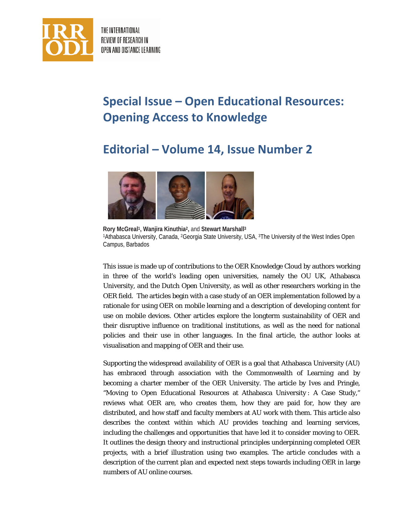

THE INTERNATIONAL REVIEW OF RESEARCH IN OPEN AND DISTANCE LEARNING

## **Special Issue – Open Educational Resources: Opening Access to Knowledge**

## **Editorial – Volume 14, Issue Number 2**



**Rory McGreal1, Wanjira Kinuthia2,** and **Stewart Marshall3** 1Athabasca University, Canada, 2Georgia State University, USA, 3The University of the West Indies Open Campus, Barbados

This issue is made up of contributions to the OER Knowledge Cloud by authors working in three of the world's leading open universities, namely the OU UK, Athabasca University, and the Dutch Open University, as well as other researchers working in the OER field. The articles begin with a case study of an OER implementation followed by a rationale for using OER on mobile learning and a description of developing content for use on mobile devices. Other articles explore the longterm sustainability of OER and their disruptive influence on traditional institutions, as well as the need for national policies and their use in other languages. In the final article, the author looks at visualisation and mapping of OER and their use.

Supporting the widespread availability of OER is a goal that Athabasca University (AU) has embraced through association with the Commonwealth of Learning and by becoming a charter member of the OER University. The article by Ives and Pringle, "Moving to Open Educational Resources at Athabasca University : A Case Study," reviews what OER are, who creates them, how they are paid for, how they are distributed, and how staff and faculty members at AU work with them. This article also describes the context within which AU provides teaching and learning services, including the challenges and opportunities that have led it to consider moving to OER. It outlines the design theory and instructional principles underpinning completed OER projects, with a brief illustration using two examples. The article concludes with a description of the current plan and expected next steps towards including OER in large numbers of AU online courses.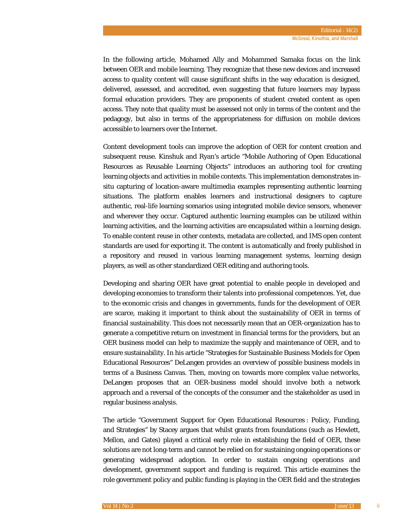In the following article, Mohamed Ally and Mohammed Samaka focus on the link between OER and mobile learning. They recognize that these new devices and increased access to quality content will cause significant shifts in the way education is designed, delivered, assessed, and accredited, even suggesting that future learners may bypass formal education providers. They are proponents of student created content as open access. They note that quality must be assessed not only in terms of the content and the pedagogy, but also in terms of the appropriateness for diffusion on mobile devices accessible to learners over the Internet.

Content development tools can improve the adoption of OER for content creation and subsequent reuse. Kinshuk and Ryan's article "Mobile Authoring of Open Educational Resources as Reusable Learning Objects" introduces an authoring tool for creating learning objects and activities in mobile contexts. This implementation demonstrates insitu capturing of location-aware multimedia examples representing authentic learning situations. The platform enables learners and instructional designers to capture authentic, real-life learning scenarios using integrated mobile device sensors, whenever and wherever they occur. Captured authentic learning examples can be utilized within learning activities, and the learning activities are encapsulated within a learning design. To enable content reuse in other contexts, metadata are collected, and IMS open content standards are used for exporting it. The content is automatically and freely published in a repository and reused in various learning management systems, learning design players, as well as other standardized OER editing and authoring tools.

Developing and sharing OER have great potential to enable people in developed and developing economies to transform their talents into professional competences. Yet, due to the economic crisis and changes in governments, funds for the development of OER are scarce, making it important to think about the sustainability of OER in terms of financial sustainability. This does not necessarily mean that an OER-organization has to generate a competitive return on investment in financial terms for the providers, but an OER business model can help to maximize the supply and maintenance of OER, and to ensure sustainability. In his article "Strategies for Sustainable Business Models for Open Educational Resources" DeLangen provides an overview of possible business models in terms of a Business Canvas. Then, moving on towards more complex *value networks*, DeLangen proposes that an OER-business model should involve both a network approach and a reversal of the concepts of the consumer and the stakeholder as used in regular business analysis.

The article "Government Support for Open Educational Resources : Policy, Funding, and Strategies" by Stacey argues that whilst grants from foundations (such as Hewlett, Mellon, and Gates) played a critical early role in establishing the field of OER, these solutions are not long-term and cannot be relied on for sustaining ongoing operations or generating widespread adoption. In order to sustain ongoing operations and development, government support and funding is required. This article examines the role government policy and public funding is playing in the OER field and the strategies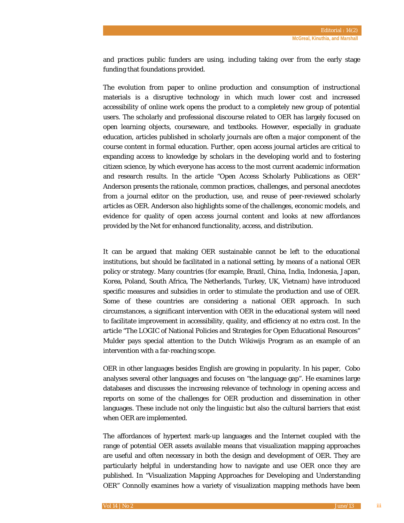and practices public funders are using, including taking over from the early stage funding that foundations provided.

The evolution from paper to online production and consumption of instructional materials is a disruptive technology in which much lower cost and increased accessibility of online work opens the product to a completely new group of potential users. The scholarly and professional discourse related to OER has largely focused on open learning objects, courseware, and textbooks. However, especially in graduate education, articles published in scholarly journals are often a major component of the course content in formal education. Further, open access journal articles are critical to expanding access to knowledge by scholars in the developing world and to fostering citizen science, by which everyone has access to the most current academic information and research results. In the article "Open Access Scholarly Publications as OER" Anderson presents the rationale, common practices, challenges, and personal anecdotes from a journal editor on the production, use, and reuse of peer-reviewed scholarly articles as OER. Anderson also highlights some of the challenges, economic models, and evidence for quality of open access journal content and looks at new affordances provided by the Net for enhanced functionality, access, and distribution.

It can be argued that making OER sustainable cannot be left to the educational institutions, but should be facilitated in a national setting, by means of a national OER policy or strategy. Many countries (for example, Brazil, China, India, Indonesia, Japan, Korea, Poland, South Africa, The Netherlands, Turkey, UK, Vietnam) have introduced specific measures and subsidies in order to stimulate the production and use of OER. Some of these countries are considering a national OER approach. In such circumstances, a significant intervention with OER in the educational system will need to facilitate improvement in accessibility, quality, and efficiency at no extra cost. In the article "The LOGIC of National Policies and Strategies for Open Educational Resources" Mulder pays special attention to the Dutch Wikiwijs Program as an example of an intervention with a far-reaching scope.

OER in other languages besides English are growing in popularity. In his paper, Cobo analyses several other languages and focuses on "the language gap". He examines large databases and discusses the increasing relevance of technology in opening access and reports on some of the challenges for OER production and dissemination in other languages. These include not only the linguistic but also the cultural barriers that exist when OER are implemented.

The affordances of hypertext mark-up languages and the Internet coupled with the range of potential OER assets available means that visualization mapping approaches are useful and often necessary in both the design and development of OER. They are particularly helpful in understanding how to navigate and use OER once they are published. In "Visualization Mapping Approaches for Developing and Understanding OER" Connolly examines how a variety of visualization mapping methods have been